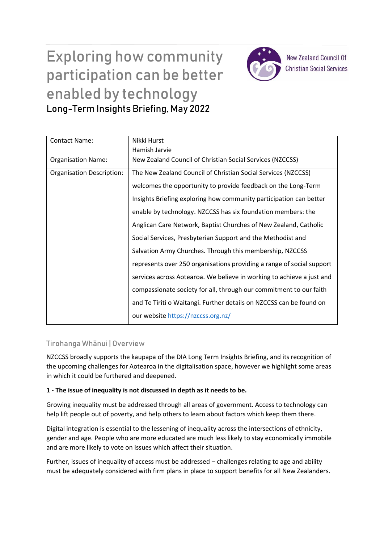# Exploring how community participation can be better enabled by technology Long-Term Insights Briefing, May 2022



**New Zealand Council Of Christian Social Services** 

| <b>Contact Name:</b>             | Nikki Hurst                                                           |
|----------------------------------|-----------------------------------------------------------------------|
|                                  | Hamish Jarvie                                                         |
| <b>Organisation Name:</b>        | New Zealand Council of Christian Social Services (NZCCSS)             |
| <b>Organisation Description:</b> | The New Zealand Council of Christian Social Services (NZCCSS)         |
|                                  | welcomes the opportunity to provide feedback on the Long-Term         |
|                                  | Insights Briefing exploring how community participation can better    |
|                                  | enable by technology. NZCCSS has six foundation members: the          |
|                                  | Anglican Care Network, Baptist Churches of New Zealand, Catholic      |
|                                  | Social Services, Presbyterian Support and the Methodist and           |
|                                  | Salvation Army Churches. Through this membership, NZCCSS              |
|                                  | represents over 250 organisations providing a range of social support |
|                                  | services across Aotearoa. We believe in working to achieve a just and |
|                                  | compassionate society for all, through our commitment to our faith    |
|                                  | and Te Tiriti o Waitangi. Further details on NZCCSS can be found on   |
|                                  | our website https://nzccss.org.nz/                                    |

## Tirohanga Whānui | Overview

NZCCSS broadly supports the kaupapa of the DIA Long Term Insights Briefing, and its recognition of the upcoming challenges for Aotearoa in the digitalisation space, however we highlight some areas in which it could be furthered and deepened.

## **1 - The issue of inequality is not discussed in depth as it needs to be.**

Growing inequality must be addressed through all areas of government. Access to technology can help lift people out of poverty, and help others to learn about factors which keep them there.

Digital integration is essential to the lessening of inequality across the intersections of ethnicity, gender and age. People who are more educated are much less likely to stay economically immobile and are more likely to vote on issues which affect their situation.

Further, issues of inequality of access must be addressed – challenges relating to age and ability must be adequately considered with firm plans in place to support benefits for all New Zealanders.